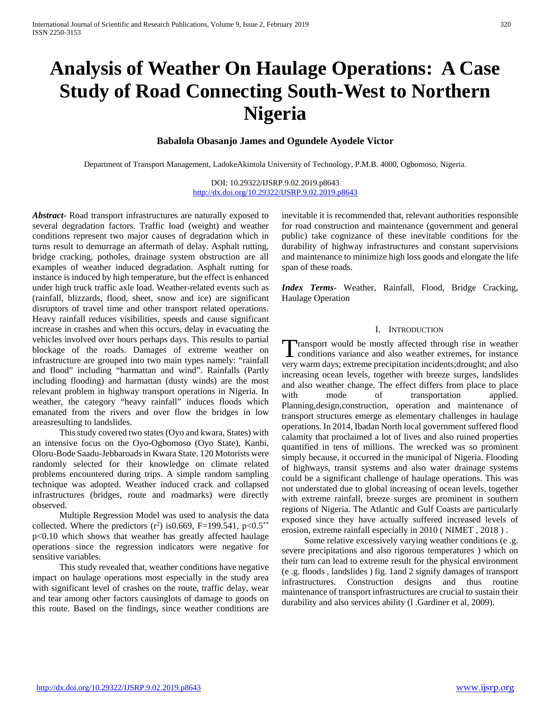# **Analysis of Weather On Haulage Operations: A Case Study of Road Connecting South-West to Northern Nigeria**

# **Babalola Obasanjo James and Ogundele Ayodele Victor**

Department of Transport Management, LadokeAkintola University of Technology, P.M.B. 4000, Ogbomoso, Nigeria.

DOI: 10.29322/IJSRP.9.02.2019.p8643 <http://dx.doi.org/10.29322/IJSRP.9.02.2019.p8643>

*Abstract***-** Road transport infrastructures are naturally exposed to several degradation factors. Traffic load (weight) and weather conditions represent two major causes of degradation which in turns result to demurrage an aftermath of delay. Asphalt rutting, bridge cracking, potholes, drainage system obstruction are all examples of weather induced degradation. Asphalt rutting for instance is induced by high temperature, but the effect is enhanced under high truck traffic axle load. Weather-related events such as (rainfall, blizzards, flood, sheet, snow and ice) are significant disruptors of travel time and other transport related operations. Heavy rainfall reduces visibilities, speeds and cause significant increase in crashes and when this occurs, delay in evacuating the vehicles involved over hours perhaps days. This results to partial blockage of the roads. Damages of extreme weather on infrastructure are grouped into two main types namely: "rainfall and flood" including "harmattan and wind". Rainfalls (Partly including flooding) and harmattan (dusty winds) are the most relevant problem in highway transport operations in Nigeria. In weather, the category "heavy rainfall" induces floods which emanated from the rivers and over flow the bridges in low areasresulting to landslides.

 This study covered two states (Oyo and kwara, States) with an intensive focus on the Oyo-Ogbomoso (Oyo State), Kanbi, Oloru-Bode Saadu-Jebbaroads in Kwara State. 120 Motorists were randomly selected for their knowledge on climate related problems encountered during trips. A simple random sampling technique was adopted. Weather induced crack and collapsed infrastructures (bridges, route and roadmarks) were directly observed.

 Multiple Regression Model was used to analysis the data collected. Where the predictors  $(r^2)$  is 0.669, F=199.541, p<0.5<sup>\*\*</sup> p<0.10 which shows that weather has greatly affected haulage operations since the regression indicators were negative for sensitive variables.

 This study revealed that, weather conditions have negative impact on haulage operations most especially in the study area with significant level of crashes on the route, traffic delay, wear and tear among other factors causinglots of damage to goods on this route. Based on the findings, since weather conditions are inevitable it is recommended that, relevant authorities responsible for road construction and maintenance (government and general public) take cognizance of these inevitable conditions for the durability of highway infrastructures and constant supervisions and maintenance to minimize high loss goods and elongate the life span of these roads.

*Index Terms*- Weather, Rainfall, Flood, Bridge Cracking, Haulage Operation

#### I. INTRODUCTION

ransport would be mostly affected through rise in weather Transport would be mostly affected through rise in weather conditions variance and also weather extremes, for instance very warm days; extreme precipitation incidents;drought; and also increasing ocean levels, together with breeze surges, landslides and also weather change. The effect differs from place to place with mode of transportation applied. Planning,design,construction, operation and maintenance of transport structures emerge as elementary challenges in haulage operations. In 2014, Ibadan North local government suffered flood calamity that proclaimed a lot of lives and also ruined properties quantified in tens of millions. The wrecked was so prominent simply because, it occurred in the municipal of Nigeria. Flooding of highways, transit systems and also water drainage systems could be a significant challenge of haulage operations. This was not understated due to global increasing of ocean levels, together with extreme rainfall, breeze surges are prominent in southern regions of Nigeria. The Atlantic and Gulf Coasts are particularly exposed since they have actually suffered increased levels of erosion, extreme rainfall especially in 2010 ( NIMET , 2018 ) .

 Some relative excessively varying weather conditions (e .g. severe precipitations and also rigorous temperatures ) which on their turn can lead to extreme result for the physical environment (e .g. floods , landslides ) fig. 1and 2 signify damages of transport infrastructures. Construction designs and thus routine maintenance of transport infrastructures are crucial to sustain their durability and also services ability (l .Gardiner et al, 2009).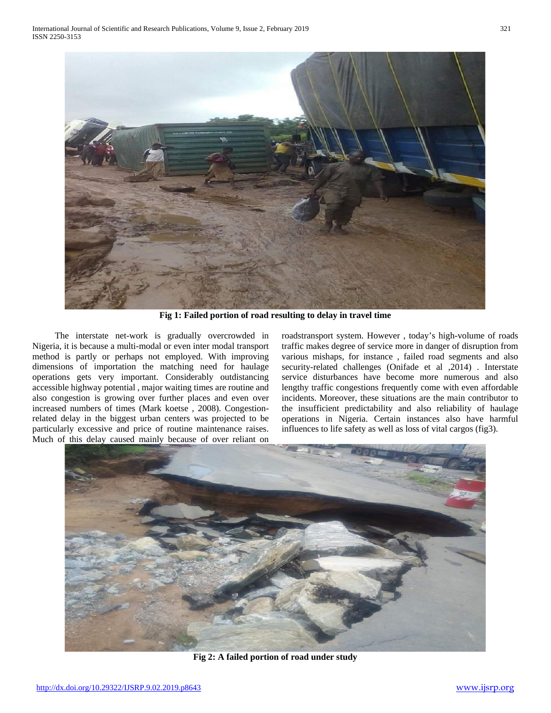

**Fig 1: Failed portion of road resulting to delay in travel time**

 The interstate net-work is gradually overcrowded in Nigeria, it is because a multi-modal or even inter modal transport method is partly or perhaps not employed. With improving dimensions of importation the matching need for haulage operations gets very important. Considerably outdistancing accessible highway potential , major waiting times are routine and also congestion is growing over further places and even over increased numbers of times (Mark koetse , 2008). Congestionrelated delay in the biggest urban centers was projected to be particularly excessive and price of routine maintenance raises. Much of this delay caused mainly because of over reliant on roadstransport system. However , today's high-volume of roads traffic makes degree of service more in danger of disruption from various mishaps, for instance , failed road segments and also security-related challenges (Onifade et al ,2014) . Interstate service disturbances have become more numerous and also lengthy traffic congestions frequently come with even affordable incidents. Moreover, these situations are the main contributor to the insufficient predictability and also reliability of haulage operations in Nigeria. Certain instances also have harmful influences to life safety as well as loss of vital cargos (fig3).



**Fig 2: A failed portion of road under study**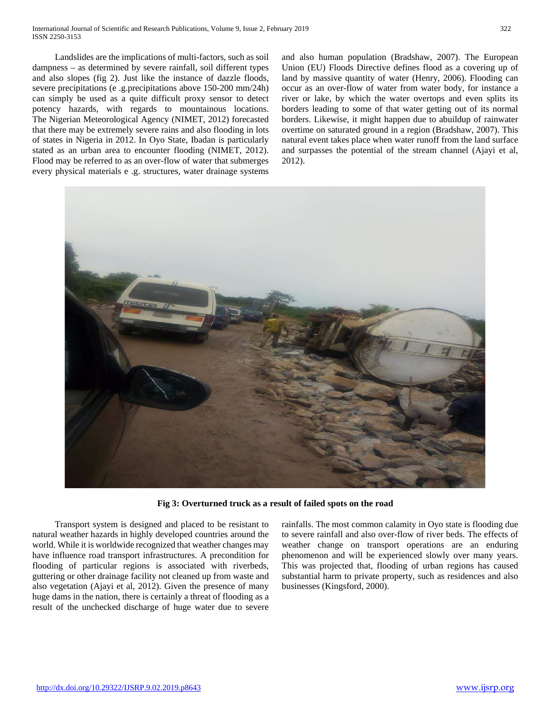Landslides are the implications of multi-factors, such as soil dampness – as determined by severe rainfall, soil different types and also slopes (fig 2). Just like the instance of dazzle floods, severe precipitations (e .g.precipitations above 150-200 mm/24h) can simply be used as a quite difficult proxy sensor to detect potency hazards, with regards to mountainous locations. The Nigerian Meteorological Agency (NIMET, 2012) forecasted that there may be extremely severe rains and also flooding in lots of states in Nigeria in 2012. In Oyo State, Ibadan is particularly stated as an urban area to encounter flooding (NIMET, 2012). Flood may be referred to as an over-flow of water that submerges every physical materials e .g. structures, water drainage systems

and also human population (Bradshaw, 2007). The European Union (EU) Floods Directive defines flood as a covering up of land by massive quantity of water (Henry, 2006). Flooding can occur as an over-flow of water from water body, for instance a river or lake, by which the water overtops and even splits its borders leading to some of that water getting out of its normal borders. Likewise, it might happen due to abuildup of rainwater overtime on saturated ground in a region (Bradshaw, 2007). This natural event takes place when water runoff from the land surface and surpasses the potential of the stream channel (Ajayi et al, 2012).



**Fig 3: Overturned truck as a result of failed spots on the road**

 Transport system is designed and placed to be resistant to natural weather hazards in highly developed countries around the world. While it is worldwide recognized that weather changes may have influence road transport infrastructures. A precondition for flooding of particular regions is associated with riverbeds, guttering or other drainage facility not cleaned up from waste and also vegetation (Ajayi et al, 2012). Given the presence of many huge dams in the nation, there is certainly a threat of flooding as a result of the unchecked discharge of huge water due to severe

rainfalls. The most common calamity in Oyo state is flooding due to severe rainfall and also over-flow of river beds. The effects of weather change on transport operations are an enduring phenomenon and will be experienced slowly over many years. This was projected that, flooding of urban regions has caused substantial harm to private property, such as residences and also businesses (Kingsford, 2000).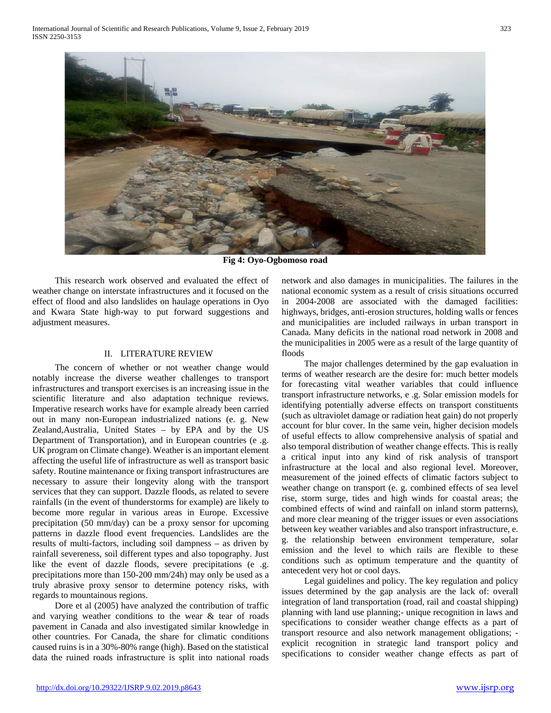

**Fig 4: Oyo-Ogbomoso road**

 This research work observed and evaluated the effect of weather change on interstate infrastructures and it focused on the effect of flood and also landslides on haulage operations in Oyo and Kwara State high-way to put forward suggestions and adjustment measures.

#### II. LITERATURE REVIEW

 The concern of whether or not weather change would notably increase the diverse weather challenges to transport infrastructures and transport exercises is an increasing issue in the scientific literature and also adaptation technique reviews. Imperative research works have for example already been carried out in many non-European industrialized nations (e. g. New Zealand,Australia, United States – by EPA and by the US Department of Transportation), and in European countries (e .g. UK program on Climate change). Weather is an important element affecting the useful life of infrastructure as well as transport basic safety. Routine maintenance or fixing transport infrastructures are necessary to assure their longevity along with the transport services that they can support. Dazzle floods, as related to severe rainfalls (in the event of thunderstorms for example) are likely to become more regular in various areas in Europe. Excessive precipitation (50 mm/day) can be a proxy sensor for upcoming patterns in dazzle flood event frequencies. Landslides are the results of multi-factors, including soil dampness – as driven by rainfall severeness, soil different types and also topography. Just like the event of dazzle floods, severe precipitations (e .g. precipitations more than 150-200 mm/24h) may only be used as a truly abrasive proxy sensor to determine potency risks, with regards to mountainous regions.

 Dore et al (2005) have analyzed the contribution of traffic and varying weather conditions to the wear & tear of roads pavement in Canada and also investigated similar knowledge in other countries. For Canada, the share for climatic conditions caused ruins is in a 30%-80% range (high). Based on the statistical data the ruined roads infrastructure is split into national roads

network and also damages in municipalities. The failures in the national economic system as a result of crisis situations occurred in 2004-2008 are associated with the damaged facilities: highways, bridges, anti-erosion structures, holding walls or fences and municipalities are included railways in urban transport in Canada. Many deficits in the national road network in 2008 and the municipalities in 2005 were as a result of the large quantity of floods

 The major challenges determined by the gap evaluation in terms of weather research are the desire for: much better models for forecasting vital weather variables that could influence transport infrastructure networks, e .g. Solar emission models for identifying potentially adverse effects on transport constituents (such as ultraviolet damage or radiation heat gain) do not properly account for blur cover. In the same vein, higher decision models of useful effects to allow comprehensive analysis of spatial and also temporal distribution of weather change effects. This is really a critical input into any kind of risk analysis of transport infrastructure at the local and also regional level. Moreover, measurement of the joined effects of climatic factors subject to weather change on transport (e. g. combined effects of sea level rise, storm surge, tides and high winds for coastal areas; the combined effects of wind and rainfall on inland storm patterns), and more clear meaning of the trigger issues or even associations between key weather variables and also transport infrastructure, e. g. the relationship between environment temperature, solar emission and the level to which rails are flexible to these conditions such as optimum temperature and the quantity of antecedent very hot or cool days.

 Legal guidelines and policy. The key regulation and policy issues determined by the gap analysis are the lack of: overall integration of land transportation (road, rail and coastal shipping) planning with land use planning;- unique recognition in laws and specifications to consider weather change effects as a part of transport resource and also network management obligations; explicit recognition in strategic land transport policy and specifications to consider weather change effects as part of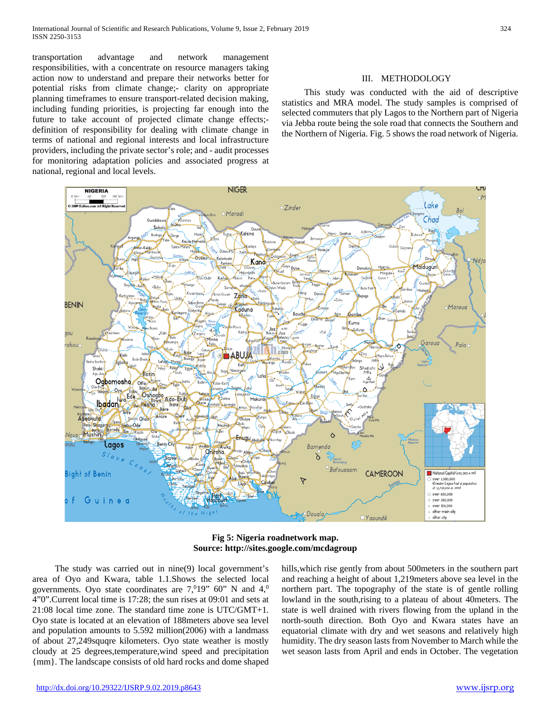transportation advantage and network management responsibilities, with a concentrate on resource managers taking action now to understand and prepare their networks better for potential risks from climate change;- clarity on appropriate planning timeframes to ensure transport-related decision making, including funding priorities, is projecting far enough into the future to take account of projected climate change effects; definition of responsibility for dealing with climate change in terms of national and regional interests and local infrastructure providers, including the private sector's role; and - audit processes for monitoring adaptation policies and associated progress at national, regional and local levels.

 This study was conducted with the aid of descriptive statistics and MRA model. The study samples is comprised of selected commuters that ply Lagos to the Northern part of Nigeria via Jebba route being the sole road that connects the Southern and the Northern of Nigeria. Fig. 5 shows the road network of Nigeria.

III. METHODOLOGY



**Fig 5: Nigeria roadnetwork map. Source: http://sites.google.com/mcdagroup**

 The study was carried out in nine(9) local government's area of Oyo and Kwara, table 1.1.Shows the selected local governments. Oyo state coordinates are  $7,019$ " 60" N and  $4,0$ 4"0".Current local time is 17:28; the sun rises at 09:01 and sets at 21:08 local time zone. The standard time zone is UTC/GMT+1. Oyo state is located at an elevation of 188meters above sea level and population amounts to 5.592 million(2006) with a landmass of about 27,249squqre kilometers. Oyo state weather is mostly cloudy at 25 degrees,temperature,wind speed and precipitation {mm}. The landscape consists of old hard rocks and dome shaped

hills,which rise gently from about 500meters in the southern part and reaching a height of about 1,219meters above sea level in the northern part. The topography of the state is of gentle rolling lowland in the south,rising to a plateau of about 40meters. The state is well drained with rivers flowing from the upland in the north-south direction. Both Oyo and Kwara states have an equatorial climate with dry and wet seasons and relatively high humidity. The dry season lasts from November to March while the wet season lasts from April and ends in October. The vegetation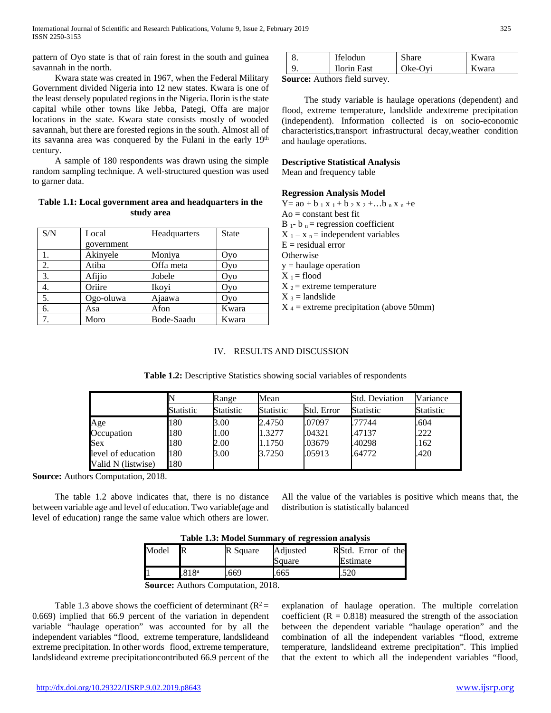pattern of Oyo state is that of rain forest in the south and guinea savannah in the north.

 Kwara state was created in 1967, when the Federal Military Government divided Nigeria into 12 new states. Kwara is one of the least densely populated regions in the Nigeria. Ilorin is the state capital while other towns like Jebba, Pategi, Offa are major locations in the state. Kwara state consists mostly of wooded savannah, but there are forested regions in the south. Almost all of its savanna area was conquered by the Fulani in the early 19<sup>th</sup> century.

 A sample of 180 respondents was drawn using the simple random sampling technique. A well-structured question was used to garner data.

**Table 1.1: Local government area and headquarters in the study area**

| S/N | Local      | Headquarters | <b>State</b> |  |
|-----|------------|--------------|--------------|--|
|     | government |              |              |  |
| 1.  | Akinyele   | Moniya       | Oyo          |  |
| 2.  | Atiba      | Offa meta    | Oyo          |  |
| 3.  | Afijio     | Jobele       | Oyo          |  |
| 4.  | Oriire     | Ikoyi        | Oyo          |  |
| 5.  | Ogo-oluwa  | Ajaawa       | Oyo          |  |
| 6.  | Asa        | Afon         | Kwara        |  |
| 7.  | Moro       | Bode-Saadu   | Kwara        |  |

| Ifelodun           | Share   | Kwara |
|--------------------|---------|-------|
| <b>Ilorin East</b> | Oke-Oyi | Kwara |

**Source:** Authors field survey.

 The study variable is haulage operations (dependent) and flood, extreme temperature, landslide andextreme precipitation (independent). Information collected is on socio-economic characteristics,transport infrastructural decay,weather condition and haulage operations.

# **Descriptive Statistical Analysis**

Mean and frequency table

### **Regression Analysis Model**

 $Y=$  ao + b  $_1$  x  $_1$  + b  $_2$  x  $_2$  + ...b  $_n$  x  $_n$  +e  $Ao = constant$  best fit  $B_1 - b_n =$  regression coefficient  $X_1 - x_n =$  independent variables  $E =$  residual error **Otherwise**  $y =$  haulage operation  $X_1$  = flood  $X_2$  = extreme temperature  $X_3$  = landslide  $X_4$  = extreme precipitation (above 50mm)

# IV. RESULTS AND DISCUSSION

| Table 1.2: Descriptive Statistics showing social variables of respondents |  |
|---------------------------------------------------------------------------|--|
|                                                                           |  |

|                    |           | Range            | Mean      |            | <b>Std. Deviation</b> | Variance  |
|--------------------|-----------|------------------|-----------|------------|-----------------------|-----------|
|                    | Statistic | <b>Statistic</b> | Statistic | Std. Error | <b>Statistic</b>      | Statistic |
| Age                | 180       | 3.00             | 2.4750    | .07097     | .77744                | .604      |
| Occupation         | 180       | 1.00             | 1.3277    | .04321     | .47137                | .222      |
| Sex                | 180       | 2.00             | 1.1750    | .03679     | .40298                | .162      |
| level of education | 180       | 3.00             | 3.7250    | .05913     | .64772                | .420      |
| Valid N (listwise) | 180       |                  |           |            |                       |           |

**Source:** Authors Computation, 2018.

 The table 1.2 above indicates that, there is no distance between variable age and level of education. Two variable(age and level of education) range the same value which others are lower.

All the value of the variables is positive which means that, the distribution is statistically balanced

| Table 1.3: Model Summary of regression analysis |                   |          |          |                    |  |  |  |
|-------------------------------------------------|-------------------|----------|----------|--------------------|--|--|--|
| Model                                           | IR                | R Square | Adjusted | RStd. Error of the |  |  |  |
|                                                 |                   |          | Square   | Estimate           |  |  |  |
|                                                 | .818 <sup>a</sup> | .669     | .665     | .520               |  |  |  |

**Source:** Authors Computation, 2018.

Table 1.3 above shows the coefficient of determinant ( $R^2$  = 0.669) implied that 66.9 percent of the variation in dependent variable "haulage operation" was accounted for by all the independent variables "flood, extreme temperature, landslideand extreme precipitation. In other words flood, extreme temperature, landslideand extreme precipitationcontributed 66.9 percent of the explanation of haulage operation. The multiple correlation coefficient ( $R = 0.818$ ) measured the strength of the association between the dependent variable "haulage operation" and the combination of all the independent variables "flood, extreme temperature, landslideand extreme precipitation". This implied that the extent to which all the independent variables "flood,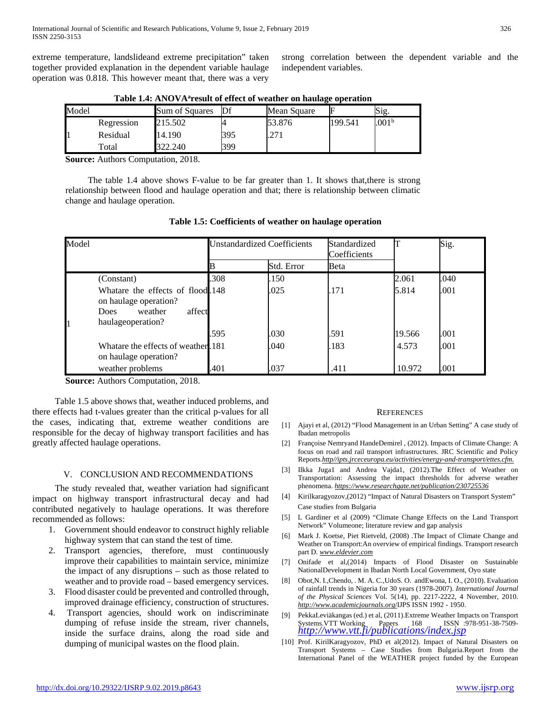extreme temperature, landslideand extreme precipitation" taken together provided explanation in the dependent variable haulage operation was 0.818. This however meant that, there was a very

strong correlation between the dependent variable and the independent variables.

| Model |            | Sum of Squares | Df  | Mean Square |         | Sig.              |
|-------|------------|----------------|-----|-------------|---------|-------------------|
|       | Regression | 215.502        |     | 53.876      | 199.541 | .001 <sup>b</sup> |
|       | Residual   | 14.190         | 395 | דר<br>.     |         |                   |
|       | Total      | 322.240        | 399 |             |         |                   |

Table 1.4: ANOVA<sup>a</sup>result of effect of weather on haulage operation

**Source:** Authors Computation, 2018.

 The table 1.4 above shows F-value to be far greater than 1. It shows that,there is strong relationship between flood and haulage operation and that; there is relationship between climatic change and haulage operation.

| Model                                                                                              |        | <b>Unstandardized Coefficients</b><br>Standardized |      |        | Sig. |
|----------------------------------------------------------------------------------------------------|--------|----------------------------------------------------|------|--------|------|
|                                                                                                    |        | Std. Error                                         | Beta |        |      |
| (Constant)                                                                                         | .308   | .150                                               |      | 2.061  | .040 |
| Whatare the effects of flood 148<br>on haulage operation?<br>weather<br>Does.<br>haulageoperation? | affect | .025                                               | .171 | 5.814  | .001 |
|                                                                                                    | .595   | .030                                               | .591 | 19.566 | .001 |
| Whatare the effects of weather 181<br>on haulage operation?                                        |        | .040                                               | .183 | 4.573  | .001 |
| weather problems                                                                                   | .401   | .037                                               | .411 | 10.972 | .001 |

**Table 1.5: Coefficients of weather on haulage operation**

**Source:** Authors Computation, 2018.

 Table 1.5 above shows that, weather induced problems, and there effects had t-values greater than the critical p-values for all the cases, indicating that, extreme weather conditions are responsible for the decay of highway transport facilities and has greatly affected haulage operations.

### V. CONCLUSION AND RECOMMENDATIONS

 The study revealed that, weather variation had significant impact on highway transport infrastructural decay and had contributed negatively to haulage operations. It was therefore recommended as follows:

- 1. Government should endeavor to construct highly reliable highway system that can stand the test of time.
- 2. Transport agencies, therefore, must continuously improve their capabilities to maintain service, minimize the impact of any disruptions – such as those related to weather and to provide road – based emergency services.
- 3. Flood disaster could be prevented and controlled through, improved drainage efficiency, construction of structures.
- 4. Transport agencies, should work on indiscriminate dumping of refuse inside the stream, river channels, inside the surface drains, along the road side and dumping of municipal wastes on the flood plain.

#### **REFERENCES**

- [1] Ajayi et al, (2012) "Flood Management in an Urban Setting" A case study of Ibadan metropolis
- [2] Françoise Nemryand HandeDemirel , (2012). Impacts of Climate Change: A focus on road and rail transport infrastructures. JRC Scientific and Policy Reports.*http//ipts.jrceceuropa.eu/activities/energy-and-transport/ettes.cfm.*
- [3] Ilkka Juga1 and Andrea Vajda1, (2012).The Effect of Weather on Transportation: Assessing the impact thresholds for adverse weather phenomena. *https://www.researchgate.net/publication/230725536*
- [4] Kirilkaragyozov,(2012) "Impact of Natural Disasters on Transport System" Case studies from Bulgaria
- [5] L Gardiner et al (2009) "Climate Change Effects on the Land Transport Network" Volumeone; literature review and gap analysis
- [6] Mark J. Koetse, Piet Rietveld, (2008) .The Impact of Climate Change and Weather on Transport:An overview of empirical findings. Transport research part D. *www.eldevier.com*
- [7] Onifade et al,(2014) Impacts of Flood Disaster on Sustainable NationalDevelopment in Ibadan North Local Government, Oyo state
- [8] Obot,N. I.,Chendo, . M. A. C.,UdoS. O. andEwona, I. O., (2010). Evaluation of rainfall trends in Nigeria for 30 years (1978-2007). *International Journal of the Physical Sciences* Vol. 5(14), pp. 2217-2222, 4 November, 2010. *http://www.academicjournals.org*/IJPS ISSN 1992 - 1950.
- [9] PekkaLeviäkangas (ed.) et al, (2011).Extreme Weather Impacts on Transport Systems.VTT Working Papers 168 ISSN :978-951-38-7509- *<http://www.vtt.fi/publications/index.jsp>*
- [10] Prof. KirilKaragyozov, PhD et al(2012). Impact of Natural Disasters on Transport Systems – Case Studies from Bulgaria.Report from the International Panel of the WEATHER project funded by the European